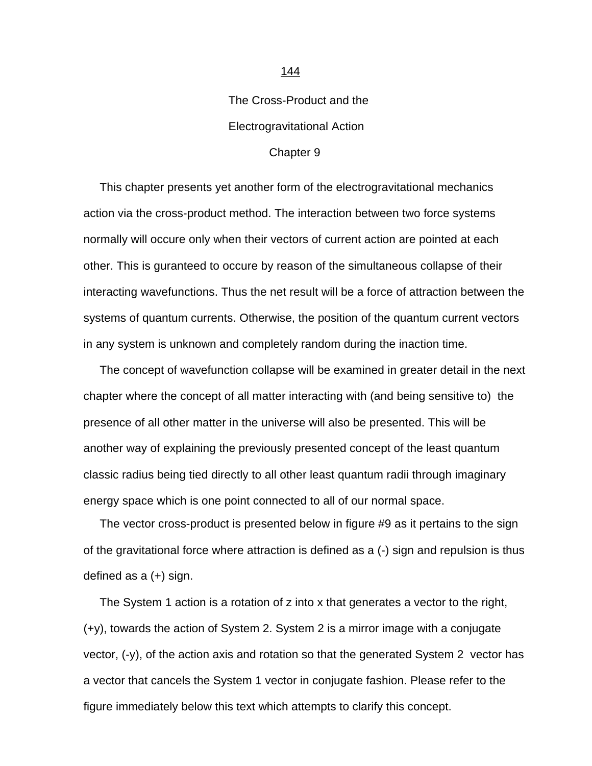## The Cross-Product and the Electrogravitational Action

## Chapter 9

<span id="page-0-0"></span> This chapter presents yet another form of the electrogravitational mechanics action via the cross-product method. The interaction between two force systems normally will occure only when their vectors of current action are pointed at each other. This is guranteed to occure by reason of the simultaneous collapse of their interacting wavefunctions. Thus the net result will be a force of attraction between the systems of quantum currents. Otherwise, the position of the quantum current vectors in any system is unknown and completely random during the inaction time.

 The concept of wavefunction collapse will be examined in greater detail in the next chapter where the concept of all matter interacting with (and being sensitive to) the presence of all other matter in the universe will also be presented. This will be another way of explaining the previously presented concept of the least quantum classic radius being tied directly to all other least quantum radii through imaginary energy space which is one point connected to all of our normal space.

 The vector cross-product is presented below in figure #9 as it pertains to the sign of the gravitational force where attraction is defined as a (-) sign and repulsion is thus defined as a (+) sign.

 The System 1 action is a rotation of z into x that generates a vector to the right, (+y), towards the action of System 2. System 2 is a mirror image with a conjugate vector, (-y), of the action axis and rotation so that the generated System 2 vector has a vector that cancels the System 1 vector in conjugate fashion. Please refer to the figure immediately below this text which attempts to clarify this concept.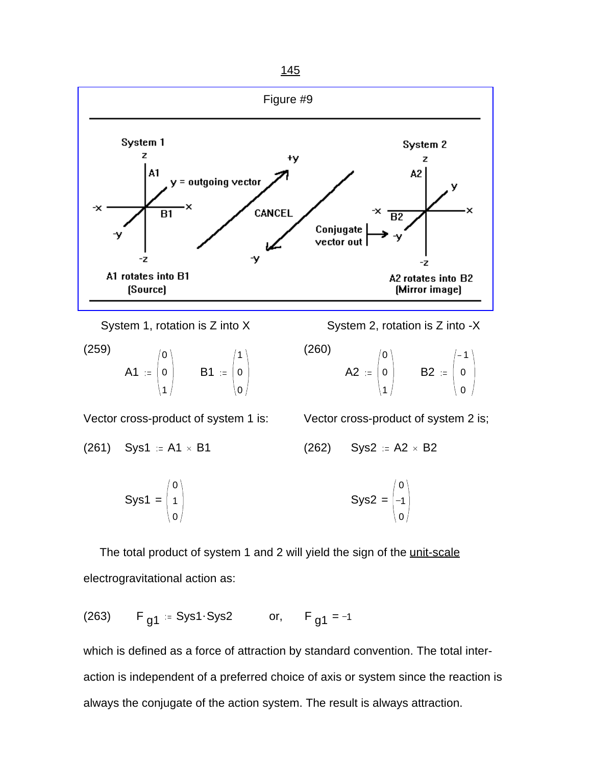

$$
(259) \quad \mathsf{A1} \; := \; \begin{pmatrix} 0 \\ 0 \\ 1 \end{pmatrix} \qquad \mathsf{B1} \; := \; \begin{pmatrix} 1 \\ 0 \\ 0 \end{pmatrix} \tag{260}
$$

System 1, rotation is Z into X System 2, rotation is Z into -X

$$
\begin{array}{c}\n\text{A2} \quad \text{=}\n\begin{pmatrix}\n0 \\
0 \\
1\n\end{pmatrix} \quad\n\text{B2} \quad \text{=}\n\begin{pmatrix}\n-1 \\
0 \\
0\n\end{pmatrix}\n\end{array}
$$

Vector cross-product of system 1 is: Vector cross-product of system 2 is;

(261) 
$$
Sys1 := A1 \times B1
$$
 (262)  $Sys2 := A2 \times B2$ 

$$
Sys1 = \begin{pmatrix} 0 \\ 1 \\ 0 \end{pmatrix}
$$
 
$$
Sys2 = \begin{pmatrix} 0 \\ -1 \\ 0 \end{pmatrix}
$$

The total product of system 1 and 2 will yield the sign of the unit-scale electrogravitational action as:

(263) <sup>F</sup> g1 Sys1.Sys2 or, <sup>F</sup> <sup>=</sup> g1 <sup>1</sup>

which is defined as a force of attraction by standard convention. The total interaction is independent of a preferred choice of axis or system since the reaction is always the conjugate of the action system. The result is always attraction.

[Figure #9](#page-0-0)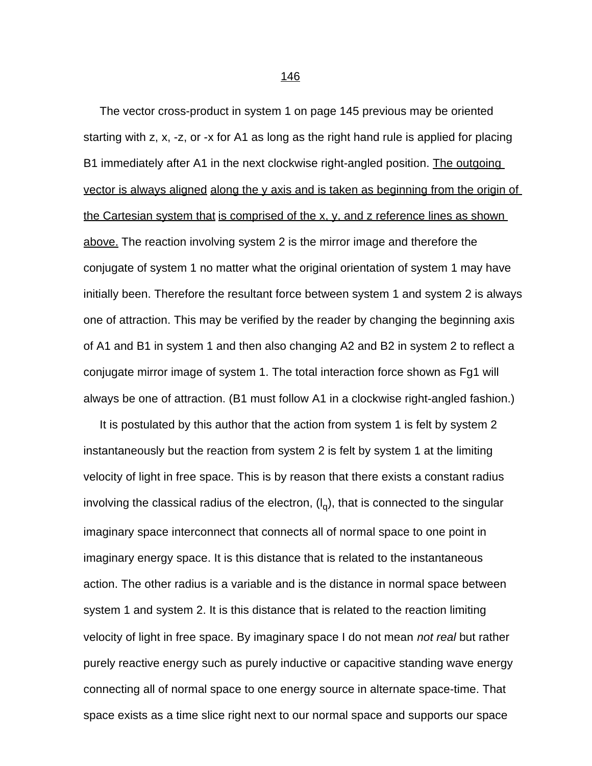The vector cross-product in system 1 on page 145 previous may be oriented starting with z, x, -z, or -x for A1 as long as the right hand rule is applied for placing B1 immediately after A1 in the next clockwise right-angled position. <u>The outgoing</u> vector is always aligned along the y axis and is taken as beginning from the origin of the Cartesian system that is comprised of the x, y, and z reference lines as shown above. The reaction involving system 2 is the mirror image and therefore the conjugate of system 1 no matter what the original orientation of system 1 may have initially been. Therefore the resultant force between system 1 and system 2 is always one of attraction. This may be verified by the reader by changing the beginning axis of A1 and B1 in system 1 and then also changing A2 and B2 in system 2 to reflect a conjugate mirror image of system 1. The total interaction force shown as Fg1 will always be one of attraction. (B1 must follow A1 in a clockwise right-angled fashion.)

 It is postulated by this author that the action from system 1 is felt by system 2 instantaneously but the reaction from system 2 is felt by system 1 at the limiting velocity of light in free space. This is by reason that there exists a constant radius involving the classical radius of the electron,  $(\mathsf{l}_\text{q})$ , that is connected to the singular imaginary space interconnect that connects all of normal space to one point in imaginary energy space. It is this distance that is related to the instantaneous action. The other radius is a variable and is the distance in normal space between system 1 and system 2. It is this distance that is related to the reaction limiting velocity of light in free space. By imaginary space I do not mean *not real* but rather purely reactive energy such as purely inductive or capacitive standing wave energy connecting all of normal space to one energy source in alternate space-time. That space exists as a time slice right next to our normal space and supports our space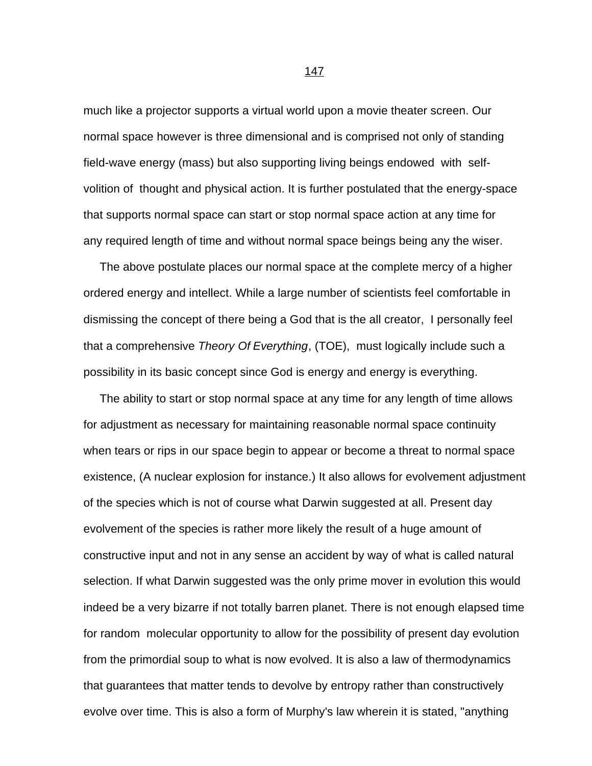much like a projector supports a virtual world upon a movie theater screen. Our normal space however is three dimensional and is comprised not only of standing field-wave energy (mass) but also supporting living beings endowed with selfvolition of thought and physical action. It is further postulated that the energy-space that supports normal space can start or stop normal space action at any time for any required length of time and without normal space beings being any the wiser.

 The above postulate places our normal space at the complete mercy of a higher ordered energy and intellect. While a large number of scientists feel comfortable in dismissing the concept of there being a God that is the all creator, I personally feel that a comprehensive *Theory Of Everything*, (TOE), must logically include such a possibility in its basic concept since God is energy and energy is everything.

 The ability to start or stop normal space at any time for any length of time allows for adjustment as necessary for maintaining reasonable normal space continuity when tears or rips in our space begin to appear or become a threat to normal space existence, (A nuclear explosion for instance.) It also allows for evolvement adjustment of the species which is not of course what Darwin suggested at all. Present day evolvement of the species is rather more likely the result of a huge amount of constructive input and not in any sense an accident by way of what is called natural selection. If what Darwin suggested was the only prime mover in evolution this would indeed be a very bizarre if not totally barren planet. There is not enough elapsed time for random molecular opportunity to allow for the possibility of present day evolution from the primordial soup to what is now evolved. It is also a law of thermodynamics that guarantees that matter tends to devolve by entropy rather than constructively evolve over time. This is also a form of Murphy's law wherein it is stated, "anything

процесс в политика в 147 године в 147 године в 147 године в 147 године в 147 године в 147 године в 147 године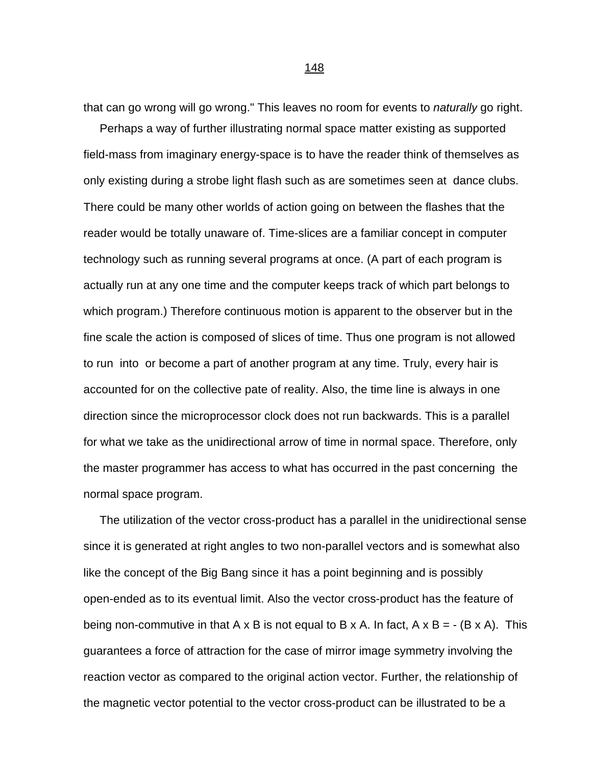that can go wrong will go wrong." This leaves no room for events to *naturally* go right.

 Perhaps a way of further illustrating normal space matter existing as supported field-mass from imaginary energy-space is to have the reader think of themselves as only existing during a strobe light flash such as are sometimes seen at dance clubs. There could be many other worlds of action going on between the flashes that the reader would be totally unaware of. Time-slices are a familiar concept in computer technology such as running several programs at once. (A part of each program is actually run at any one time and the computer keeps track of which part belongs to which program.) Therefore continuous motion is apparent to the observer but in the fine scale the action is composed of slices of time. Thus one program is not allowed to run into or become a part of another program at any time. Truly, every hair is accounted for on the collective pate of reality. Also, the time line is always in one direction since the microprocessor clock does not run backwards. This is a parallel for what we take as the unidirectional arrow of time in normal space. Therefore, only the master programmer has access to what has occurred in the past concerning the normal space program.

 The utilization of the vector cross-product has a parallel in the unidirectional sense since it is generated at right angles to two non-parallel vectors and is somewhat also like the concept of the Big Bang since it has a point beginning and is possibly open-ended as to its eventual limit. Also the vector cross-product has the feature of being non-commutive in that A x B is not equal to B x A. In fact, A x B =  $\cdot$  (B x A). This guarantees a force of attraction for the case of mirror image symmetry involving the reaction vector as compared to the original action vector. Further, the relationship of the magnetic vector potential to the vector cross-product can be illustrated to be a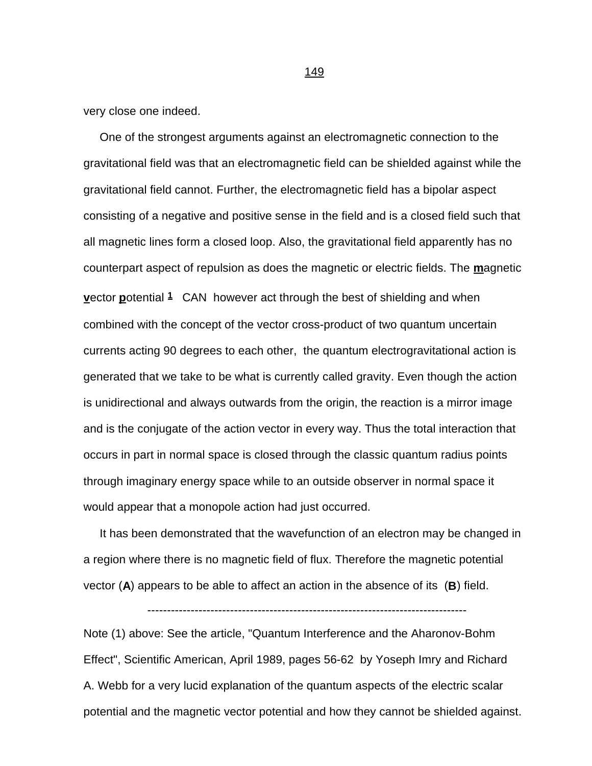very close one indeed.

 One of the strongest arguments against an electromagnetic connection to the gravitational field was that an electromagnetic field can be shielded against while the gravitational field cannot. Further, the electromagnetic field has a bipolar aspect consisting of a negative and positive sense in the field and is a closed field such that all magnetic lines form a closed loop. Also, the gravitational field apparently has no counterpart aspect of repulsion as does the magnetic or electric fields. The **m**agnetic **v**ector **p**otential **1** CAN however act through the best of shielding and when combined with the concept of the vector cross-product of two quantum uncertain currents acting 90 degrees to each other, the quantum electrogravitational action is generated that we take to be what is currently called gravity. Even though the action is unidirectional and always outwards from the origin, the reaction is a mirror image and is the conjugate of the action vector in every way. Thus the total interaction that occurs in part in normal space is closed through the classic quantum radius points through imaginary energy space while to an outside observer in normal space it would appear that a monopole action had just occurred.

 It has been demonstrated that the wavefunction of an electron may be changed in a region where there is no magnetic field of flux. Therefore the magnetic potential vector (**A**) appears to be able to affect an action in the absence of its (**B**) field.

Note (1) above: See the article, "Quantum Interference and the Aharonov-Bohm Effect", Scientific American, April 1989, pages 56-62 by Yoseph Imry and Richard A. Webb for a very lucid explanation of the quantum aspects of the electric scalar potential and the magnetic vector potential and how they cannot be shielded against.

<u>149 - Johann Stein, Amerikaansk politiker (</u>

<sup>---------------------------------------------------------------------------------</sup>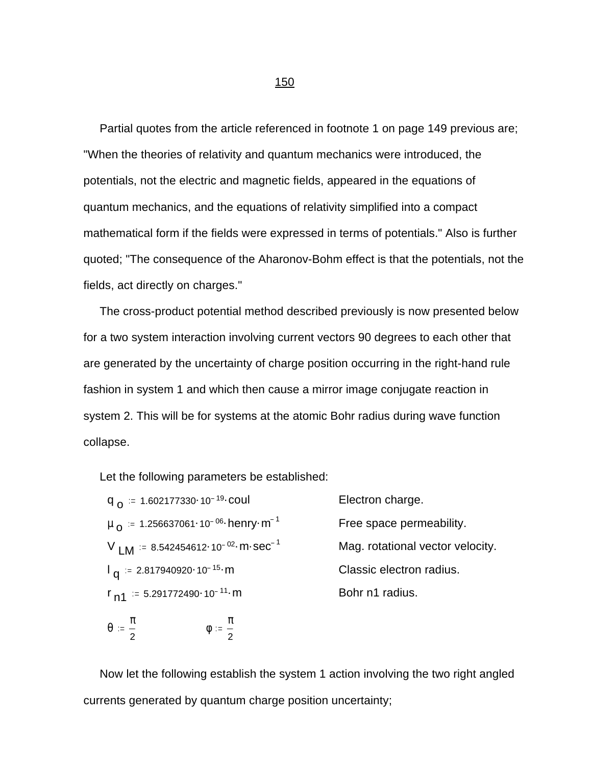Partial quotes from the article referenced in footnote 1 on page 149 previous are; "When the theories of relativity and quantum mechanics were introduced, the potentials, not the electric and magnetic fields, appeared in the equations of quantum mechanics, and the equations of relativity simplified into a compact mathematical form if the fields were expressed in terms of potentials." Also is further quoted; "The consequence of the Aharonov-Bohm effect is that the potentials, not the fields, act directly on charges."

 The cross-product potential method described previously is now presented below for a two system interaction involving current vectors 90 degrees to each other that are generated by the uncertainty of charge position occurring in the right-hand rule fashion in system 1 and which then cause a mirror image conjugate reaction in system 2. This will be for systems at the atomic Bohr radius during wave function collapse.

Let the following parameters be established:

| Electron charge.                 |
|----------------------------------|
| Free space permeability.         |
| Mag. rotational vector velocity. |
| Classic electron radius.         |
| Bohr n1 radius.                  |
|                                  |

$$
\theta \ := \ \frac{\pi}{2} \qquad \qquad \qquad \varphi \ := \ \frac{\pi}{2}
$$

 Now let the following establish the system 1 action involving the two right angled currents generated by quantum charge position uncertainty;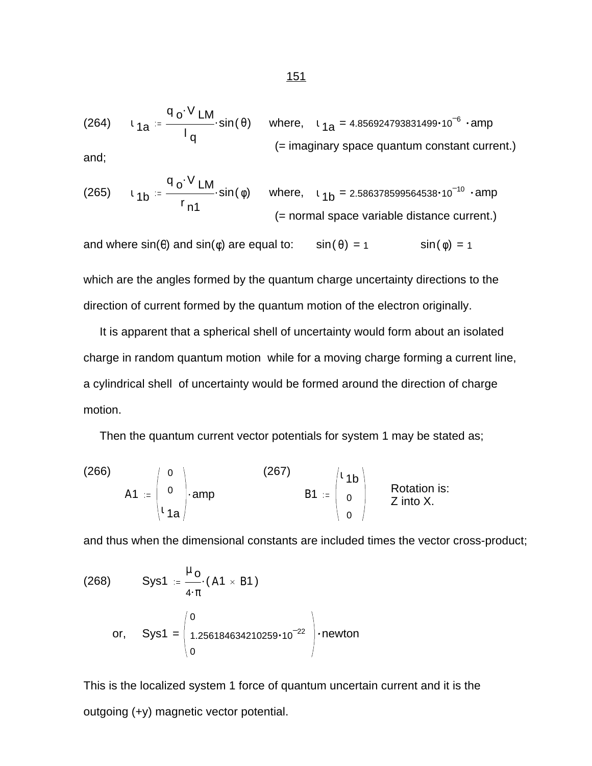(264)  $\iota_{1a} = \frac{10 \text{ Lm}}{1}$ . q <sub>o</sub> $\cdot$ V <sub>LM</sub> l q  $\mathsf{sin}(\hspace{.1mm}\theta) \hspace{.2cm}$  where,  $\hspace{.2cm}$   $\scriptstyle \mathsf{1}_{\mathsf{d}\mathsf{a}}$  = 4.856924793831499 $\cdot$ 10 $^{-6}$   $\hspace{.2cm}$   $\cdot$ amp (= imaginary space quantum constant current.) and;

(265) 
$$
t_{1b} = \frac{q_0 \cdot V_{LM}}{r_{n1}}
$$
 sin( $\phi$ ) where,  $t_{1b} = 2.586378599564538 \cdot 10^{-10}$  - amp  
(= normal space variable distance current.)

and where  $sin(\theta)$  and  $sin(\phi)$  are equal to:  $sin(\theta) = 1$  sin( $\phi$ ) = 1

which are the angles formed by the quantum charge uncertainty directions to the direction of current formed by the quantum motion of the electron originally.

 It is apparent that a spherical shell of uncertainty would form about an isolated charge in random quantum motion while for a moving charge forming a current line, a cylindrical shell of uncertainty would be formed around the direction of charge motion.

Then the quantum current vector potentials for system 1 may be stated as;

(266)  
\n
$$
A1 := \begin{pmatrix} 0 \\ 0 \\ 1 a \end{pmatrix}
$$
amp\n
$$
\begin{pmatrix} 267 \\ B1 \end{pmatrix} = \begin{pmatrix} 1 & 1b \\ 0 \\ 0 \end{pmatrix}
$$
Rotation is:  
\n
$$
B1 := \begin{pmatrix} 1 & 1b \\ 0 \\ 0 \end{pmatrix}
$$
 Rotation is:

and thus when the dimensional constants are included times the vector cross-product;

(268) Sys1 = 
$$
\frac{\mu_0}{4 \cdot \pi}
$$
 (A1 × B1)  
or, Sys1 =  $\begin{pmatrix} 0 \\ 1.256184634210259 \cdot 10^{-22} \\ 0 \end{pmatrix}$  -newton

This is the localized system 1 force of quantum uncertain current and it is the outgoing (+y) magnetic vector potential.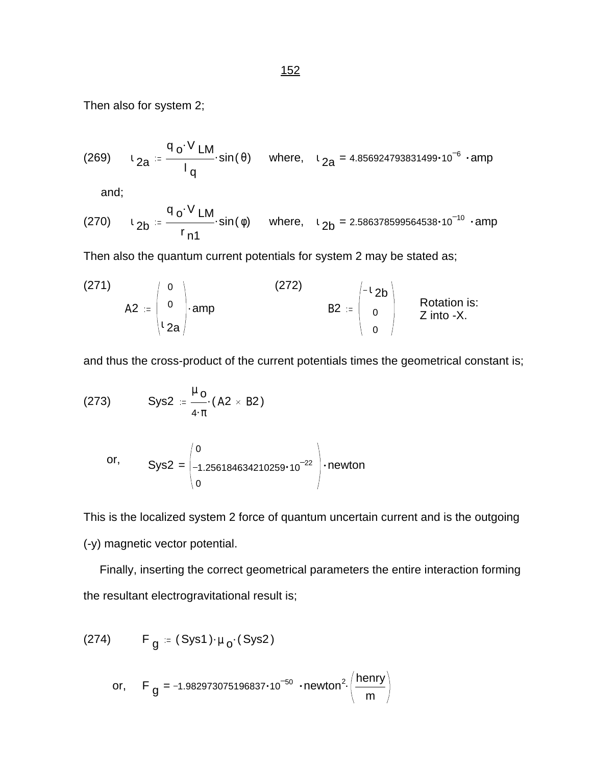(269) 
$$
t_{2a} = \frac{q_o \cdot V_{LM}}{l_q} \cdot \sin(\theta)
$$
 where,  $t_{2a} = 4.856924793831499 \cdot 10^{-6} \cdot \text{amp}$ 

and;

(270) 
$$
t_{2b} = \frac{q_0 \cdot V_{LM}}{r_{n1}}
$$
 sin( $\phi$ ) where,  $t_{2b} = 2.586378599564538 \cdot 10^{-10}$  - amp

Then also the quantum current potentials for system 2 may be stated as;

(271)  
\n
$$
A2 := \begin{pmatrix} 0 \\ 0 \\ 2a \end{pmatrix} \cdot \text{amp}
$$
\n(272)  
\n
$$
B2 := \begin{pmatrix} -12b \\ 0 \\ 0 \end{pmatrix}
$$
\nRotation is:  
\n
$$
Z \text{ into } -X.
$$

and thus the cross-product of the current potentials times the geometrical constant is;

(273) 
$$
Sys2 := \frac{\mu_0}{4 \cdot \pi} (A2 \times B2)
$$

or, 
$$
Sys2 = \begin{pmatrix} 0 \\ -1.256184634210259 \cdot 10^{-22} \\ 0 \end{pmatrix} \cdot newton
$$

This is the localized system 2 force of quantum uncertain current and is the outgoing (-y) magnetic vector potential.

 Finally, inserting the correct geometrical parameters the entire interaction forming the resultant electrogravitational result is;

(274) F<sub>g</sub> = (Sys1) · 
$$
\mu_0
$$
 (Sys2)  
or, F<sub>g</sub> = -1.982973075196837·10<sup>-50</sup> · newton<sup>2</sup> ( $\frac{\text{henry}}{\text{m}}$ )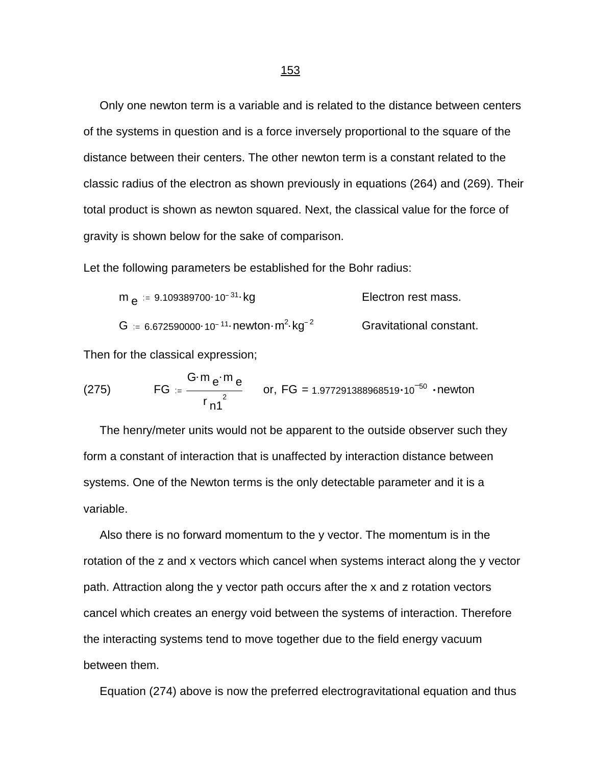Only one newton term is a variable and is related to the distance between centers of the systems in question and is a force inversely proportional to the square of the distance between their centers. The other newton term is a constant related to the classic radius of the electron as shown previously in equations (264) and (269). Their total product is shown as newton squared. Next, the classical value for the force of gravity is shown below for the sake of comparison.

Let the following parameters be established for the Bohr radius:

$$
m_e := 9.109389700 \cdot 10^{-31} \cdot kg
$$
   
Electron rest mass.  

$$
G := 6.672590000 \cdot 10^{-11} \cdot newton \cdot m^2 \cdot kg^{-2}
$$
   
Gravitational constant.

Then for the classical expression;

(275) 
$$
FG = \frac{G \cdot m e \cdot m e}{r_{n1}^{2}}
$$
 or, FG = 1.977291388968519·10<sup>-50</sup> - newton

 The henry/meter units would not be apparent to the outside observer such they form a constant of interaction that is unaffected by interaction distance between systems. One of the Newton terms is the only detectable parameter and it is a variable.

 Also there is no forward momentum to the y vector. The momentum is in the rotation of the z and x vectors which cancel when systems interact along the y vector path. Attraction along the y vector path occurs after the x and z rotation vectors cancel which creates an energy void between the systems of interaction. Therefore the interacting systems tend to move together due to the field energy vacuum between them.

Equation (274) above is now the preferred electrogravitational equation and thus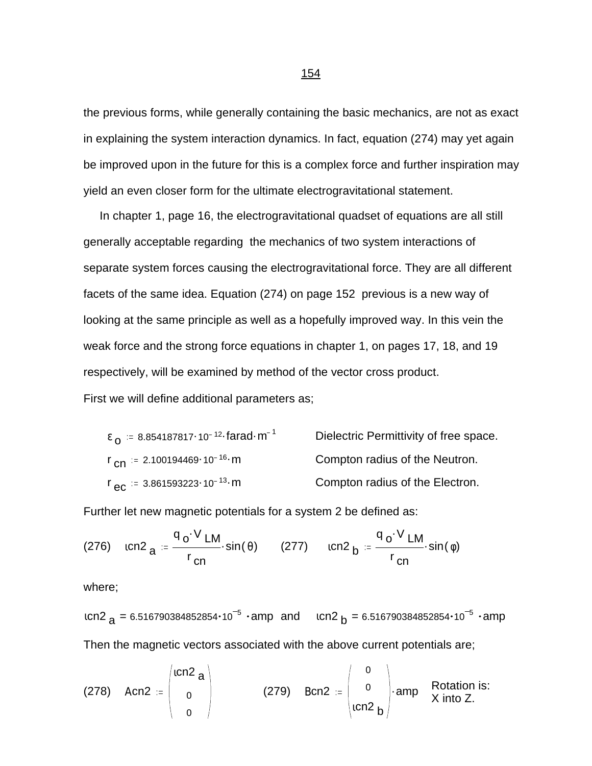the previous forms, while generally containing the basic mechanics, are not as exact in explaining the system interaction dynamics. In fact, equation (274) may yet again be improved upon in the future for this is a complex force and further inspiration may yield an even closer form for the ultimate electrogravitational statement.

 In chapter 1, page 16, the electrogravitational quadset of equations are all still generally acceptable regarding the mechanics of two system interactions of separate system forces causing the electrogravitational force. They are all different facets of the same idea. Equation (274) on page 152 previous is a new way of looking at the same principle as well as a hopefully improved way. In this vein the weak force and the strong force equations in chapter 1, on pages 17, 18, and 19 respectively, will be examined by method of the vector cross product. First we will define additional parameters as;

| $\epsilon_0$ = 8.854187817.10 <sup>-12</sup> farad m <sup>-1</sup> | Dielectric Permittivity of free space. |
|--------------------------------------------------------------------|----------------------------------------|
| $r_{\text{cn}} = 2.100194469 \cdot 10^{-16} \text{ m}$             | Compton radius of the Neutron.         |
| $r_{\text{eC}} = 3.861593223 \cdot 10^{-13} \cdot \text{m}$        | Compton radius of the Electron.        |

Further let new magnetic potentials for a system 2 be defined as:

(276) 
$$
1 \text{cn2}_{a} = \frac{q_0 \cdot V \text{LM}}{r_{cn}} \cdot \sin(\theta)
$$
 (277)  $1 \text{cn2}_{b} = \frac{q_0 \cdot V \text{LM}}{r_{cn}} \cdot \sin(\phi)$ 

where;

ιcn2 <sub>a</sub> = 6.516790384852854•10<sup>-5</sup> •amp and ιcn2 <sub>b</sub> = 6.516790384852854•10<sup>-5</sup> •amp Then the magnetic vectors associated with the above current potentials are;

(278) Acn2 := 
$$
\begin{pmatrix} \text{icn2} \\ 0 \\ 0 \end{pmatrix}
$$
 (279) Bcn2 :=  $\begin{pmatrix} 0 \\ 0 \\ \text{icn2} \\ b \end{pmatrix}$  amp Rotation is:  
x into Z.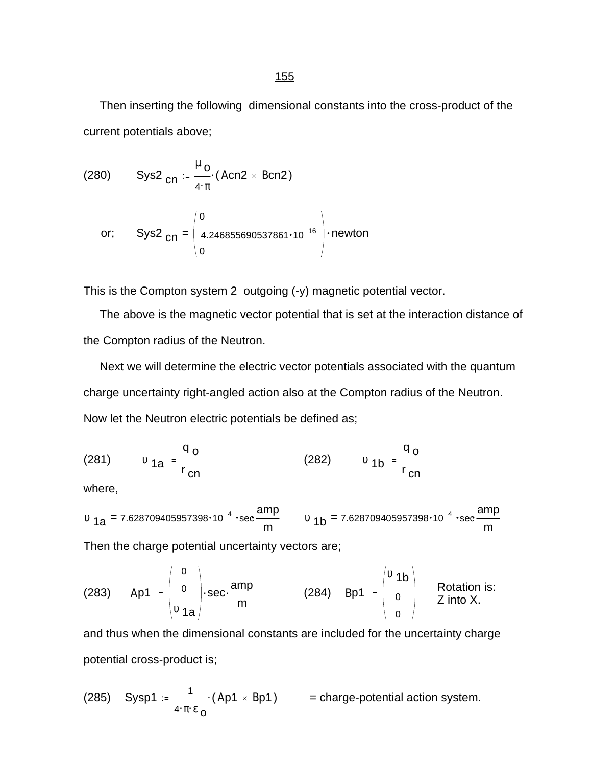Then inserting the following dimensional constants into the cross-product of the current potentials above;

(280) 
$$
\text{Sys2}_{\text{cn}} = \frac{\mu_{\text{o}}}{4 \cdot \pi} \cdot (\text{Acn2} \times \text{Bcn2})
$$

or; 
$$
Sys2_{cn} = \begin{pmatrix} 0 \\ -4.246855690537861 \cdot 10^{-16} \\ 0 \end{pmatrix}
$$
 . newton

This is the Compton system 2 outgoing (-y) magnetic potential vector.

 The above is the magnetic vector potential that is set at the interaction distance of the Compton radius of the Neutron.

 Next we will determine the electric vector potentials associated with the quantum charge uncertainty right-angled action also at the Compton radius of the Neutron. Now let the Neutron electric potentials be defined as;

(281) 
$$
v_{1a} = \frac{q_o}{r_{cn}}
$$
 (282)  $v_{1b} = \frac{q_o}{r_{cn}}$ 

where,

$$
v_{1a} = 7.628709405957398 \cdot 10^{-4} \cdot \sec \frac{amp}{m}
$$
  $v_{1b} = 7.628709405957398 \cdot 10^{-4} \cdot \sec \frac{amp}{m}$ 

Then the charge potential uncertainty vectors are;

(283) 
$$
Ap1 := \begin{pmatrix} 0 \\ 0 \\ v_{1a} \end{pmatrix}
$$
 sec· $\frac{amp}{m}$  (284)  $BP1 := \begin{pmatrix} v_{1b} \\ 0 \\ 0 \end{pmatrix}$  Rotation is:  
Z into X.

and thus when the dimensional constants are included for the uncertainty charge potential cross-product is;

(285) Sysp1 = 
$$
\frac{1}{4 \cdot \pi \cdot \epsilon_0}
$$
 (Ap1 × Bp1) = charge-potential action system.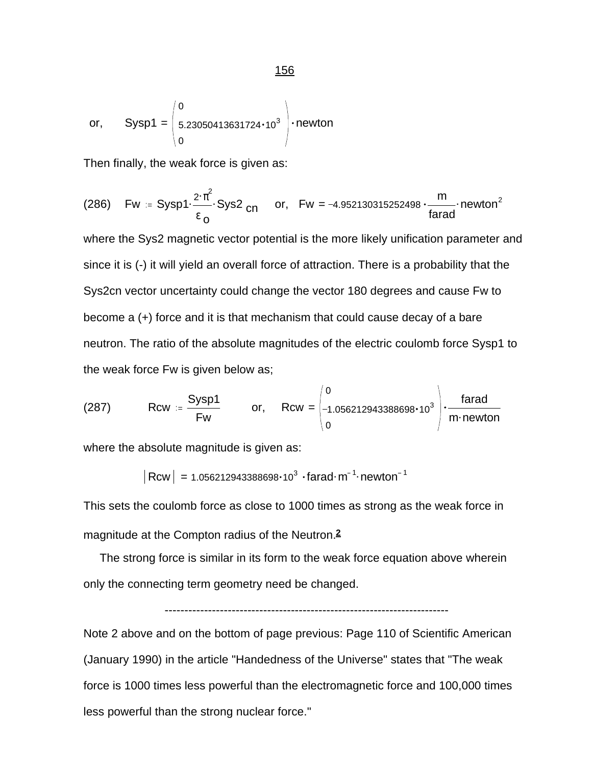or, 
$$
Sysp1 = \begin{pmatrix} 0 \\ 5.23050413631724 \cdot 10^3 \\ 0 \end{pmatrix}
$$
 . newton

Then finally, the weak force is given as:

(286) 
$$
Fw = Sysp1 \cdot \frac{2 \cdot \pi^2}{\epsilon_0} Sys2_{cn} \quad or, \quad Fw = -4.952130315252498 \cdot \frac{m}{\text{farad}} \cdot \text{newton}^2
$$

where the Sys2 magnetic vector potential is the more likely unification parameter and since it is (-) it will yield an overall force of attraction. There is a probability that the Sys2cn vector uncertainty could change the vector 180 degrees and cause Fw to become a (+) force and it is that mechanism that could cause decay of a bare neutron. The ratio of the absolute magnitudes of the electric coulomb force Sysp1 to the weak force Fw is given below as;

(287) Row = 
$$
\frac{Sysp1}{Fw}
$$
 or, Row =  $\begin{pmatrix} 0 \\ -1.056212943388698 \cdot 10^3 \\ 0 \end{pmatrix}$  ·  $\frac{farad}{m \cdot newton}$ 

where the absolute magnitude is given as:

 $Rcw$  = 1.056212943388698 $\cdot$ 10<sup>3</sup>  $\cdot$  farad $\cdot$  m<sup>-1</sup> $\cdot$  newton<sup>-1</sup>

This sets the coulomb force as close to 1000 times as strong as the weak force in magnitude at the Compton radius of the Neutron.**2**

 The strong force is similar in its form to the weak force equation above wherein only the connecting term geometry need be changed.

$$
\hskip-20pt\vdots\hskip-20pt\vdots\hskip-20pt\vdots\hskip-20pt\vdots\hskip-20pt\vdots\hskip-20pt\vdots\hskip-20pt\vdots\hskip-20pt\vdots\hskip-20pt\vdots\hskip-20pt\vdots\hskip-20pt\vdots\hskip-20pt\vdots\hskip-20pt\vdots\hskip-20pt\vdots\hskip-20pt\vdots\hskip-20pt\vdots\hskip-20pt\vdots\hskip-20pt\vdots\hskip-20pt\vdots\hskip-20pt\vdots\hskip-20pt\vdots\hskip-20pt\vdots\hskip-20pt\vdots\hskip-20pt\vdots\hskip-20pt\vdots\hskip-20pt\vdots\hskip-20pt\vdots\hskip-20pt\vdots\hskip-20pt\vdots\hskip-20pt\vdots\hskip-20pt\vdots\hskip-20pt\vdots\hskip-20pt\vdots\hskip-20pt\vdots\hskip-20pt\vdots\hskip-20pt\vdots\hskip-20pt\vdots\hskip-20pt\vdots\hskip-20pt\vdots\hskip-20pt\vdots\hskip-20pt\vdots\hskip-20pt\vdots\hskip-20pt\vdots\hskip-20pt\vdots\hskip-20pt\vdots\hskip-20pt\vdots\hskip-20pt\vdots\hskip-20pt\vdots\hskip-20pt\vdots\hskip-20pt\vdots\hskip-20pt\vdots\hskip-20pt\vdots\hskip-20pt\vdots\hskip-20pt\vdots\hskip-20pt\vdots\hskip-20pt\vdots\hskip-20pt\vdots\hskip-20pt\vdots\hskip-20pt\vdots\hskip-20pt\vdots\hskip-20pt\vdots\hskip-20pt\vdots\hskip-20pt\vdots\hskip-20pt\vdots\hskip-20pt\vdots\hskip-20pt\vdots\hskip-20pt\vdots\hskip-20pt\vdots\hskip-20pt\vdots\hskip-20pt\vdots\hskip-20pt\vdots\hskip-20pt\vdots\hskip-20pt\vdots\hskip-20pt\vdots\hskip-20pt\vdots\hskip-20pt\vdots
$$

Note 2 above and on the bottom of page previous: Page 110 of Scientific American (January 1990) in the article "Handedness of the Universe" states that "The weak force is 1000 times less powerful than the electromagnetic force and 100,000 times less powerful than the strong nuclear force."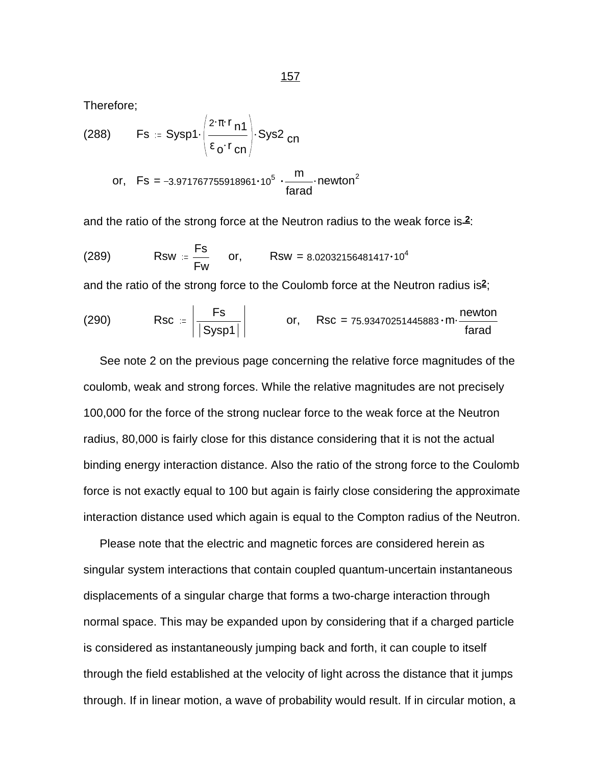Therefore;

(288) Fs := Sysp1
$$
\cdot
$$
  $\left( \frac{2 \cdot \pi \cdot r_{n1}}{\epsilon_0 \cdot r_{cn}} \right)$ ·Sys2<sub>cn</sub>  
or, Fs = -3.971767755918961·10<sup>5</sup>  $\cdot \frac{m}{\text{farad}}$ ·newton<sup>2</sup>

and the ratio of the strong force at the Neutron radius to the weak force is 2:

(289) Rsw = 
$$
\frac{Fs}{Fw}
$$
 or, Rsw = 8.02032156481417·10<sup>4</sup>

and the ratio of the strong force to the Coulomb force at the Neutron radius is**2**;

$$
(290) \qquad \qquad \text{Rsc} \; := \; \left| \frac{\text{Fs}}{|\text{Sysp1}|} \right| \qquad \qquad \text{or,} \quad \text{Rsc} = 75.93470251445883 \cdot \text{m} \cdot \frac{\text{newton}}{\text{farad}}
$$

 See note 2 on the previous page concerning the relative force magnitudes of the coulomb, weak and strong forces. While the relative magnitudes are not precisely 100,000 for the force of the strong nuclear force to the weak force at the Neutron radius, 80,000 is fairly close for this distance considering that it is not the actual binding energy interaction distance. Also the ratio of the strong force to the Coulomb force is not exactly equal to 100 but again is fairly close considering the approximate interaction distance used which again is equal to the Compton radius of the Neutron.

 Please note that the electric and magnetic forces are considered herein as singular system interactions that contain coupled quantum-uncertain instantaneous displacements of a singular charge that forms a two-charge interaction through normal space. This may be expanded upon by considering that if a charged particle is considered as instantaneously jumping back and forth, it can couple to itself through the field established at the velocity of light across the distance that it jumps through. If in linear motion, a wave of probability would result. If in circular motion, a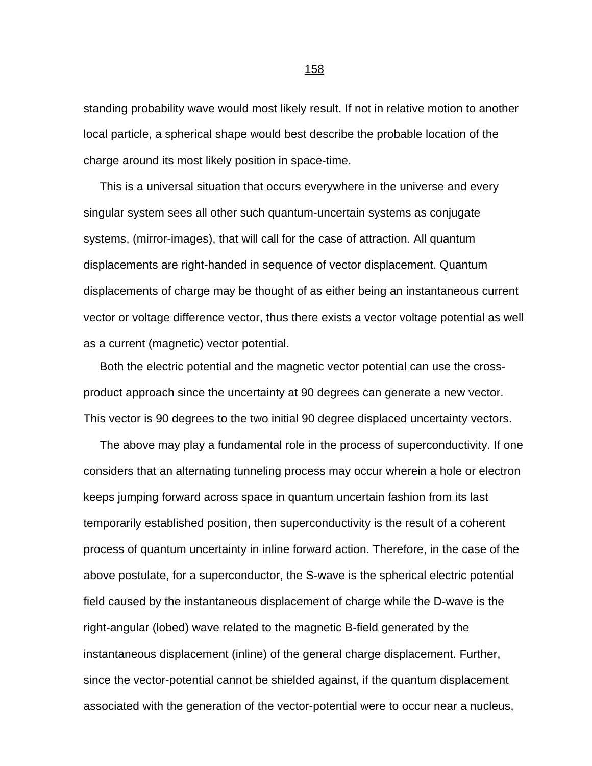standing probability wave would most likely result. If not in relative motion to another local particle, a spherical shape would best describe the probable location of the charge around its most likely position in space-time.

 This is a universal situation that occurs everywhere in the universe and every singular system sees all other such quantum-uncertain systems as conjugate systems, (mirror-images), that will call for the case of attraction. All quantum displacements are right-handed in sequence of vector displacement. Quantum displacements of charge may be thought of as either being an instantaneous current vector or voltage difference vector, thus there exists a vector voltage potential as well as a current (magnetic) vector potential.

 Both the electric potential and the magnetic vector potential can use the crossproduct approach since the uncertainty at 90 degrees can generate a new vector. This vector is 90 degrees to the two initial 90 degree displaced uncertainty vectors.

 The above may play a fundamental role in the process of superconductivity. If one considers that an alternating tunneling process may occur wherein a hole or electron keeps jumping forward across space in quantum uncertain fashion from its last temporarily established position, then superconductivity is the result of a coherent process of quantum uncertainty in inline forward action. Therefore, in the case of the above postulate, for a superconductor, the S-wave is the spherical electric potential field caused by the instantaneous displacement of charge while the D-wave is the right-angular (lobed) wave related to the magnetic B-field generated by the instantaneous displacement (inline) of the general charge displacement. Further, since the vector-potential cannot be shielded against, if the quantum displacement associated with the generation of the vector-potential were to occur near a nucleus,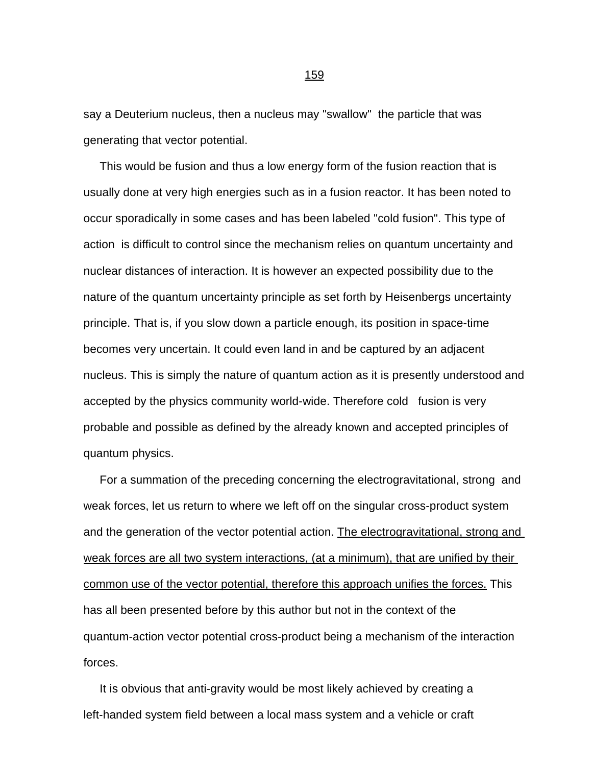say a Deuterium nucleus, then a nucleus may "swallow" the particle that was generating that vector potential.

 This would be fusion and thus a low energy form of the fusion reaction that is usually done at very high energies such as in a fusion reactor. It has been noted to occur sporadically in some cases and has been labeled "cold fusion". This type of action is difficult to control since the mechanism relies on quantum uncertainty and nuclear distances of interaction. It is however an expected possibility due to the nature of the quantum uncertainty principle as set forth by Heisenbergs uncertainty principle. That is, if you slow down a particle enough, its position in space-time becomes very uncertain. It could even land in and be captured by an adjacent nucleus. This is simply the nature of quantum action as it is presently understood and accepted by the physics community world-wide. Therefore cold fusion is very probable and possible as defined by the already known and accepted principles of quantum physics.

 For a summation of the preceding concerning the electrogravitational, strong and weak forces, let us return to where we left off on the singular cross-product system and the generation of the vector potential action. The electrogravitational, strong and weak forces are all two system interactions, (at a minimum), that are unified by their common use of the vector potential, therefore this approach unifies the forces. This has all been presented before by this author but not in the context of the quantum-action vector potential cross-product being a mechanism of the interaction forces.

 It is obvious that anti-gravity would be most likely achieved by creating a left-handed system field between a local mass system and a vehicle or craft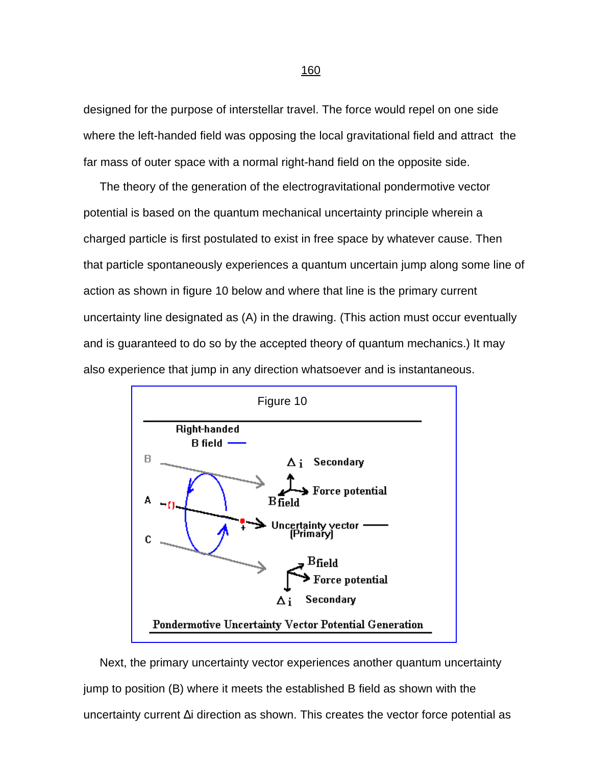designed for the purpose of interstellar travel. The force would repel on one side where the left-handed field was opposing the local gravitational field and attract the far mass of outer space with a normal right-hand field on the opposite side.

 The theory of the generation of the electrogravitational pondermotive vector potential is based on the quantum mechanical uncertainty principle wherein a charged particle is first postulated to exist in free space by whatever cause. Then that particle spontaneously experiences a quantum uncertain jump along some line of action as shown in figure 10 below and where that line is the primary current uncertainty line designated as (A) in the drawing. (This action must occur eventually and is guaranteed to do so by the accepted theory of quantum mechanics.) It may also experience that jump in any direction whatsoever and is instantaneous.



[Figure 10](#page-0-0)

 Next, the primary uncertainty vector experiences another quantum uncertainty jump to position (B) where it meets the established B field as shown with the uncertainty current Δi direction as shown. This creates the vector force potential as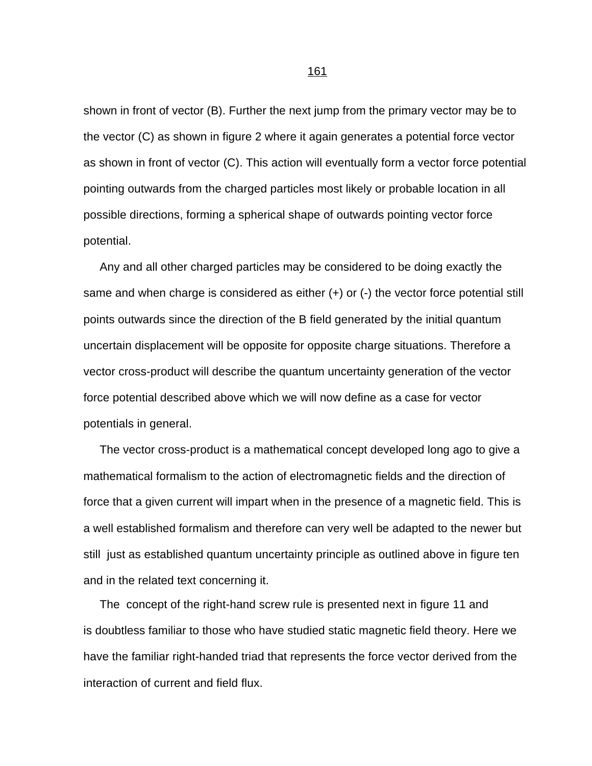shown in front of vector (B). Further the next jump from the primary vector may be to the vector (C) as shown in figure 2 where it again generates a potential force vector as shown in front of vector (C). This action will eventually form a vector force potential pointing outwards from the charged particles most likely or probable location in all possible directions, forming a spherical shape of outwards pointing vector force potential.

 Any and all other charged particles may be considered to be doing exactly the same and when charge is considered as either (+) or (-) the vector force potential still points outwards since the direction of the B field generated by the initial quantum uncertain displacement will be opposite for opposite charge situations. Therefore a vector cross-product will describe the quantum uncertainty generation of the vector force potential described above which we will now define as a case for vector potentials in general.

 The vector cross-product is a mathematical concept developed long ago to give a mathematical formalism to the action of electromagnetic fields and the direction of force that a given current will impart when in the presence of a magnetic field. This is a well established formalism and therefore can very well be adapted to the newer but still just as established quantum uncertainty principle as outlined above in figure ten and in the related text concerning it.

 The concept of the right-hand screw rule is presented next in figure 11 and is doubtless familiar to those who have studied static magnetic field theory. Here we have the familiar right-handed triad that represents the force vector derived from the interaction of current and field flux.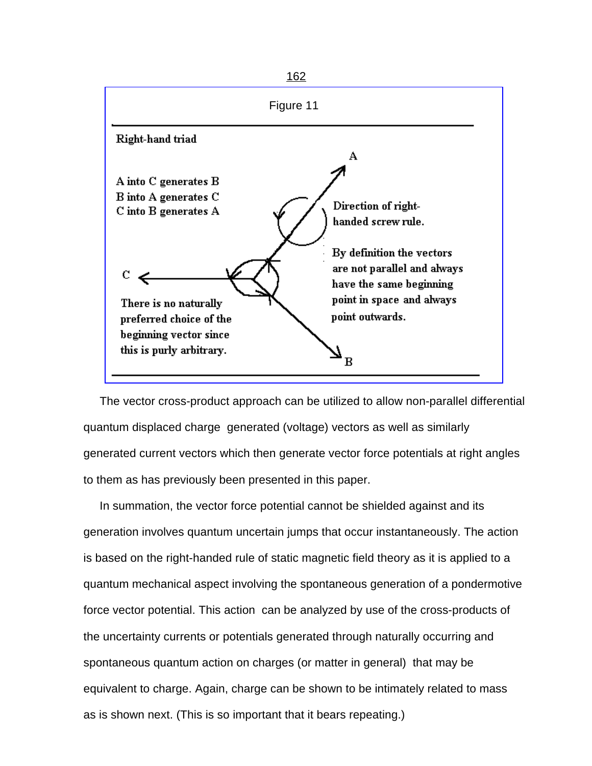

 The vector cross-product approach can be utilized to allow non-parallel differential quantum displaced charge generated (voltage) vectors as well as similarly generated current vectors which then generate vector force potentials at right angles to them as has previously been presented in this paper.

 In summation, the vector force potential cannot be shielded against and its generation involves quantum uncertain jumps that occur instantaneously. The action is based on the right-handed rule of static magnetic field theory as it is applied to a quantum mechanical aspect involving the spontaneous generation of a pondermotive force vector potential. This action can be analyzed by use of the cross-products of the uncertainty currents or potentials generated through naturally occurring and spontaneous quantum action on charges (or matter in general) that may be equivalent to charge. Again, charge can be shown to be intimately related to mass as is shown next. (This is so important that it bears repeating.)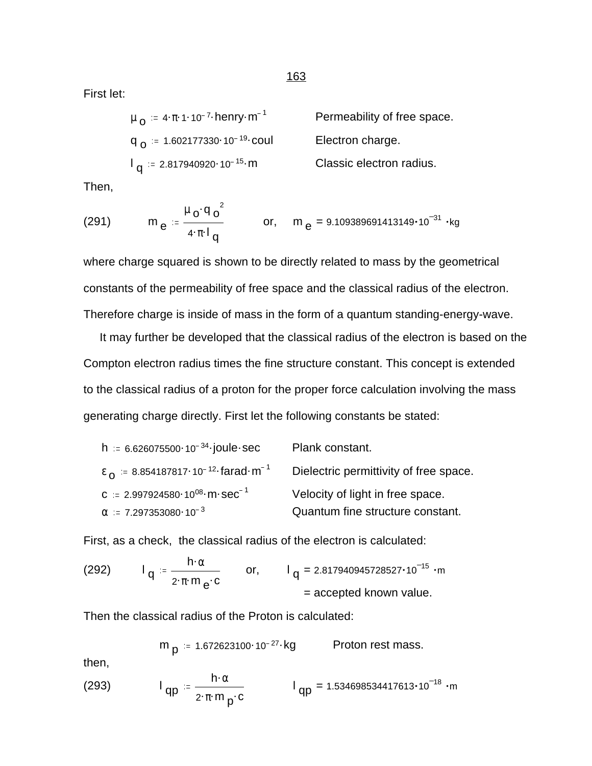First let:

| $\mu_{\Omega} = 4 \pi 1.10^{-7}$ henry m <sup>-1</sup> | Permeability of free space. |
|--------------------------------------------------------|-----------------------------|
| $q_{\Omega}$ = 1.602177330 10 <sup>-19</sup> coul      | Electron charge.            |
| $I_{\alpha}$ = 2.817940920 · 10 <sup>-15</sup> · m     | Classic electron radius.    |

Then,

(291) 
$$
m_e = \frac{\mu_0 q_0^2}{4 \pi I_q}
$$
 or,  $m_e = 9.109389691413149 \cdot 10^{-31} \cdot kg$ 

where charge squared is shown to be directly related to mass by the geometrical constants of the permeability of free space and the classical radius of the electron. Therefore charge is inside of mass in the form of a quantum standing-energy-wave.

 It may further be developed that the classical radius of the electron is based on the Compton electron radius times the fine structure constant. This concept is extended to the classical radius of a proton for the proper force calculation involving the mass generating charge directly. First let the following constants be stated:

| h = $6.626075500 \cdot 10^{-34}$ joule sec                         | Plank constant.                        |
|--------------------------------------------------------------------|----------------------------------------|
| $\epsilon_0$ = 8.854187817.10 <sup>-12</sup> farad m <sup>-1</sup> | Dielectric permittivity of free space. |
| C = 2.997924580 $10^{08}$ m · Sec <sup>-1</sup>                    | Velocity of light in free space.       |
| $\alpha$ = 7.297353080 $\cdot$ 10 <sup>-3</sup>                    | Quantum fine structure constant.       |

First, as a check, the classical radius of the electron is calculated:

(292) 
$$
I_q = \frac{n \cdot \alpha}{2 \cdot \pi \cdot m_e \cdot c}
$$
 or,  $I_q = 2.817940945728527 \cdot 10^{-15} \cdot m$   
= accepted known value.

Then the classical radius of the Proton is calculated:

h.<sup>α</sup>

$$
m_p := 1.672623100 \cdot 10^{-27} \cdot kg
$$
 Proton rest mass.

then,

(293) 
$$
I_{qp} = \frac{h \cdot \alpha}{2 \cdot \pi \cdot m_p \cdot c} \qquad I_{qp} = 1.534698534417613 \cdot 10^{-18} \cdot m
$$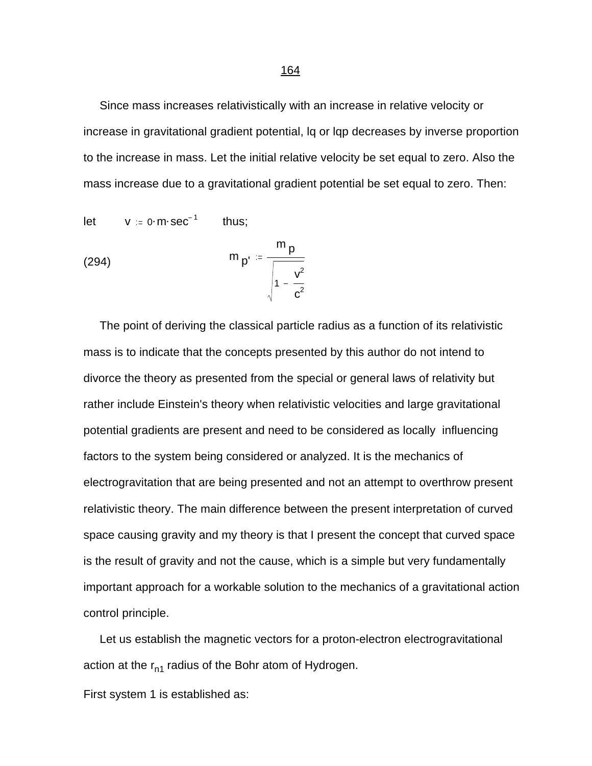Since mass increases relativistically with an increase in relative velocity or increase in gravitational gradient potential, lq or lqp decreases by inverse proportion to the increase in mass. Let the initial relative velocity be set equal to zero. Also the mass increase due to a gravitational gradient potential be set equal to zero. Then:

let 
$$
v := 0 \cdot m \cdot sec^{-1}
$$
 thus;  
\n
$$
m_{p'} := \frac{m_{p}}{\sqrt{1 - \frac{v^2}{c^2}}}
$$

 The point of deriving the classical particle radius as a function of its relativistic mass is to indicate that the concepts presented by this author do not intend to divorce the theory as presented from the special or general laws of relativity but rather include Einstein's theory when relativistic velocities and large gravitational potential gradients are present and need to be considered as locally influencing factors to the system being considered or analyzed. It is the mechanics of electrogravitation that are being presented and not an attempt to overthrow present relativistic theory. The main difference between the present interpretation of curved space causing gravity and my theory is that I present the concept that curved space is the result of gravity and not the cause, which is a simple but very fundamentally important approach for a workable solution to the mechanics of a gravitational action control principle.

 Let us establish the magnetic vectors for a proton-electron electrogravitational action at the  $r_{n1}$  radius of the Bohr atom of Hydrogen.

First system 1 is established as: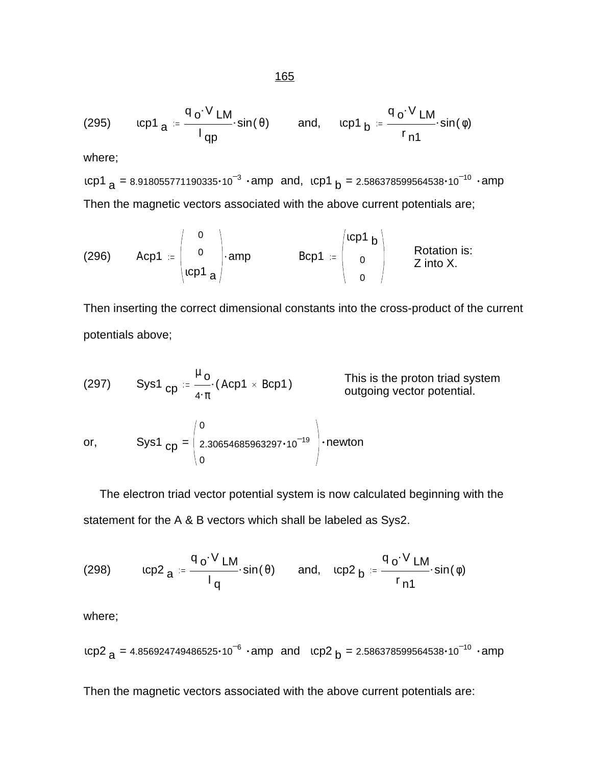(295) 
$$
icp1_a = \frac{q_o \cdot V LM}{l_{qp}} \cdot sin(\theta)
$$
 and,  $icp1_b = \frac{q_o \cdot V LM}{r_{n1}} \cdot sin(\phi)$ 

where;

ιcp1 <sub>a</sub> = 8.918055771190335•10 $^{-3}$  •amp\_and, .cp1 <sub>b</sub> = 2.586378599564538•10 $^{-10}$  •amp Then the magnetic vectors associated with the above current potentials are;

(296) 
$$
Acp1 := \begin{pmatrix} 0 \\ 0 \\ lcp1 \end{pmatrix}
$$
amp  $BCp1 := \begin{pmatrix} lcp1 & b \\ 0 \\ 0 \end{pmatrix}$  Rotation is:  
Z into X.

Then inserting the correct dimensional constants into the cross-product of the current potentials above;

(297) Sys1 
$$
_{cp} = \frac{\mu_0}{4 \cdot \pi} (Acp1 \times Bcp1)
$$
 This is the proton triad system outgoing vector potential.

or, 
$$
Sys1_{cp} = \begin{pmatrix} 0 \\ 2.30654685963297 \cdot 10^{-19} \\ 0 \end{pmatrix} \cdot newton
$$

 The electron triad vector potential system is now calculated beginning with the statement for the A & B vectors which shall be labeled as Sys2.

(298) 
$$
tcp2_{a} = \frac{q_{o} \cdot V}{lq} \cdot sin(\theta) \quad and, \quad rcp2_{b} = \frac{q_{o} \cdot V}{r_{n1}} \cdot sin(\phi)
$$

where;

$$
1 \text{CP2}_{a} = 4.856924749486525 \cdot 10^{-6} \cdot \text{amp} \text{ and } \text{1CP2}_{b} = 2.586378599564538 \cdot 10^{-10} \cdot \text{amp}
$$

Then the magnetic vectors associated with the above current potentials are: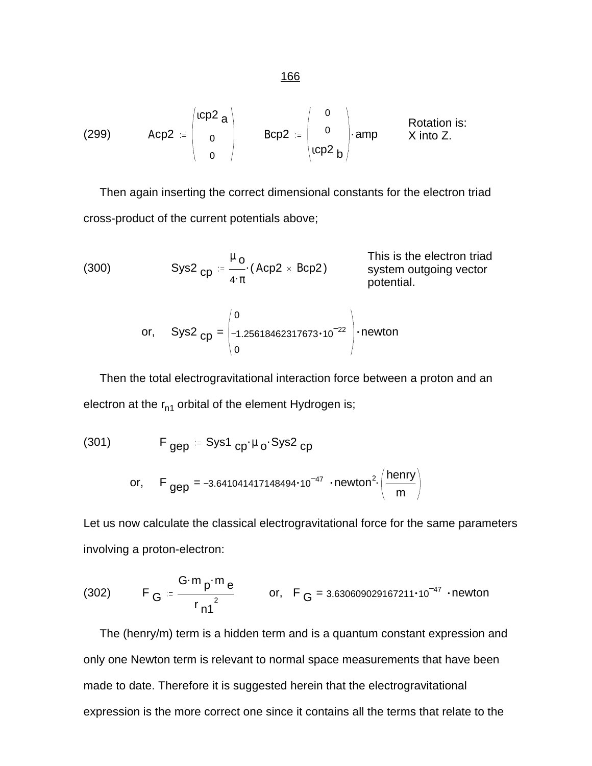(299) 
$$
Acp2 := \begin{pmatrix} acp2 \ a \ 0 \end{pmatrix}
$$
  $BCp2 := \begin{pmatrix} 0 \ 0 \ acp2 \end{pmatrix}$ amp Rotation is:  
 $acp2 = \begin{pmatrix} 0 \ 0 \ acp2 \end{pmatrix}$ amp  $X$  into  $Z$ .

 Then again inserting the correct dimensional constants for the electron triad cross-product of the current potentials above;

(300) 
$$
Sys2_{cp} := \frac{\mu_0}{4 \cdot \pi} \cdot (Acp2 \times Bcp2)
$$
 This is the electron trial  
system outgoing vector potential.

or, 
$$
Sys2_{cp} = \begin{pmatrix} 0 \\ -1.25618462317673 \cdot 10^{-22} \\ 0 \end{pmatrix}
$$
 newton

 Then the total electrogravitational interaction force between a proton and an electron at the  $r_{n1}$  orbital of the element Hydrogen is;

(301) 
$$
F_{gep} = Sys1_{cp} \cdot \mu_0 \cdot Sys2_{cp}
$$
  
or, 
$$
F_{gep} = -3.641041417148494 \cdot 10^{-47} \cdot newton^2 \cdot \left(\frac{henry}{m}\right)
$$

Let us now calculate the classical electrogravitational force for the same parameters involving a proton-electron:

(302) 
$$
F_G := \frac{G \cdot m \cdot m}{r \cdot n^2} \quad \text{or,} \quad F_G = 3.630609029167211 \cdot 10^{-47} \cdot \text{newton}
$$

 The (henry/m) term is a hidden term and is a quantum constant expression and only one Newton term is relevant to normal space measurements that have been made to date. Therefore it is suggested herein that the electrogravitational expression is the more correct one since it contains all the terms that relate to the

166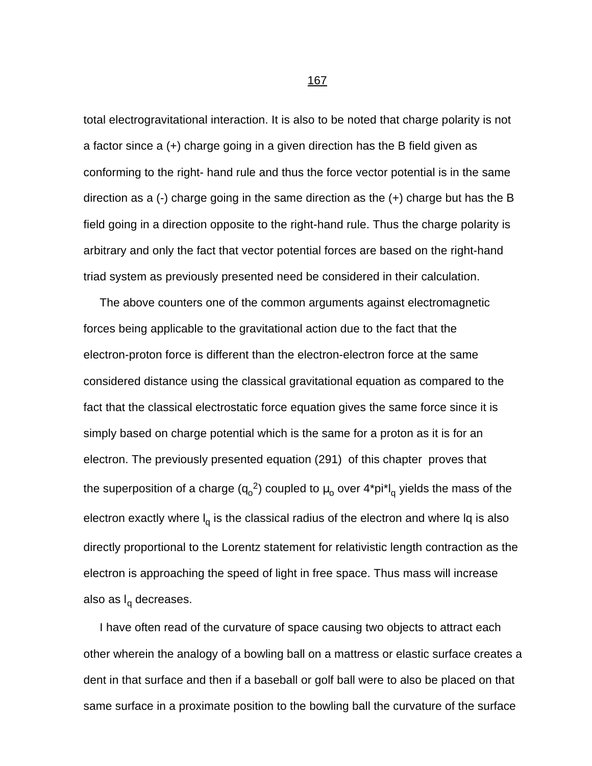total electrogravitational interaction. It is also to be noted that charge polarity is not a factor since a (+) charge going in a given direction has the B field given as conforming to the right- hand rule and thus the force vector potential is in the same direction as a (-) charge going in the same direction as the (+) charge but has the B field going in a direction opposite to the right-hand rule. Thus the charge polarity is arbitrary and only the fact that vector potential forces are based on the right-hand triad system as previously presented need be considered in their calculation.

 The above counters one of the common arguments against electromagnetic forces being applicable to the gravitational action due to the fact that the electron-proton force is different than the electron-electron force at the same considered distance using the classical gravitational equation as compared to the fact that the classical electrostatic force equation gives the same force since it is simply based on charge potential which is the same for a proton as it is for an electron. The previously presented equation (291) of this chapter proves that the superposition of a charge (q<sub>o</sub><sup>2</sup>) coupled to  $\mu_{\rm o}$  over 4\*pi\*l<sub>q</sub> yields the mass of the electron exactly where I<sub>q</sub> is the classical radius of the electron and where Iq is also directly proportional to the Lorentz statement for relativistic length contraction as the electron is approaching the speed of light in free space. Thus mass will increase also as l<sub>q</sub> decreases.

 I have often read of the curvature of space causing two objects to attract each other wherein the analogy of a bowling ball on a mattress or elastic surface creates a dent in that surface and then if a baseball or golf ball were to also be placed on that same surface in a proximate position to the bowling ball the curvature of the surface

процесси в последници в 167 године в 167 године в 167 године в 167 године в 167 године в 167 године в 167 годин<br>В 167 године в 167 године в 167 године в 167 године в 167 године в 167 године в 167 године в 167 године в 167